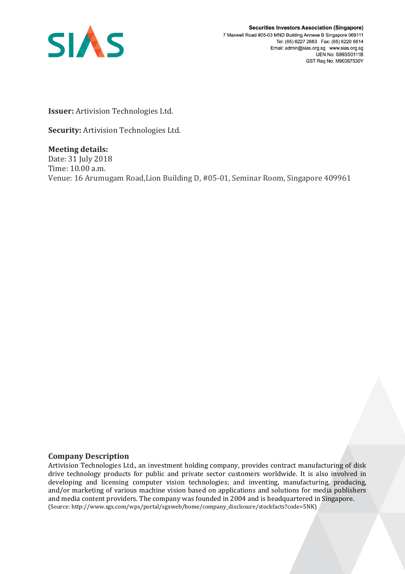

**Securities Investors Association (Singapore)** 7 Maxwell Road #05-03 MND Building Annexe B Singapore 069111 Tel: (65) 6227 2683 Fax: (65) 6220 6614 Email: admin@sias.org.sg www.sias.org.sg **UEN No: S99SS0111B** GST Reg No: M90367530Y

**Issuer:** Artivision Technologies Ltd.

**Security:** Artivision Technologies Ltd.

**Meeting details:**  Date: 31 July 2018 Time: 10.00 a.m. Venue: 16 Arumugam Road,Lion Building D, #05-01, Seminar Room, Singapore 409961

## **Company Description**

Artivision Technologies Ltd., an investment holding company, provides contract manufacturing of disk drive technology products for public and private sector customers worldwide. It is also involved in developing and licensing computer vision technologies; and inventing, manufacturing, producing, and/or marketing of various machine vision based on applications and solutions for media publishers and media content providers. The company was founded in 2004 and is headquartered in Singapore. (Source: http://www.sgx.com/wps/portal/sgxweb/home/company\_disclosure/stockfacts?code=5NK)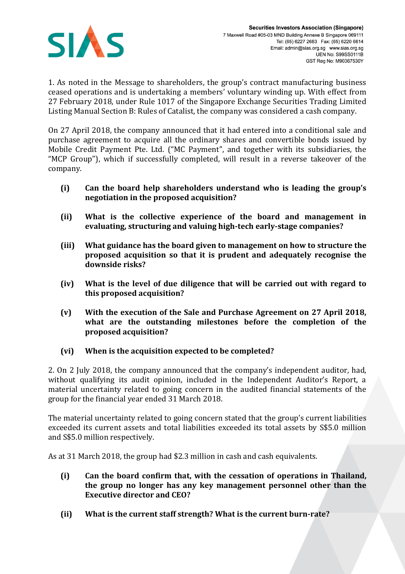

1. As noted in the Message to shareholders, the group's contract manufacturing business ceased operations and is undertaking a members' voluntary winding up. With effect from 27 February 2018, under Rule 1017 of the Singapore Exchange Securities Trading Limited Listing Manual Section B: Rules of Catalist, the company was considered a cash company.

On 27 April 2018, the company announced that it had entered into a conditional sale and purchase agreement to acquire all the ordinary shares and convertible bonds issued by Mobile Credit Payment Pte. Ltd. ("MC Payment", and together with its subsidiaries, the "MCP Group"), which if successfully completed, will result in a reverse takeover of the company.

- **(i) Can the board help shareholders understand who is leading the group's negotiation in the proposed acquisition?**
- **(ii) What is the collective experience of the board and management in evaluating, structuring and valuing high-tech early-stage companies?**
- **(iii) What guidance has the board given to management on how to structure the proposed acquisition so that it is prudent and adequately recognise the downside risks?**
- **(iv) What is the level of due diligence that will be carried out with regard to this proposed acquisition?**
- **(v) With the execution of the Sale and Purchase Agreement on 27 April 2018, what are the outstanding milestones before the completion of the proposed acquisition?**
- **(vi) When is the acquisition expected to be completed?**

2. On 2 July 2018, the company announced that the company's independent auditor, had, without qualifying its audit opinion, included in the Independent Auditor's Report, a material uncertainty related to going concern in the audited financial statements of the group for the financial year ended 31 March 2018.

The material uncertainty related to going concern stated that the group's current liabilities exceeded its current assets and total liabilities exceeded its total assets by S\$5.0 million and S\$5.0 million respectively.

As at 31 March 2018, the group had \$2.3 million in cash and cash equivalents.

- **(i) Can the board confirm that, with the cessation of operations in Thailand, the group no longer has any key management personnel other than the Executive director and CEO?**
- **(ii) What is the current staff strength? What is the current burn-rate?**